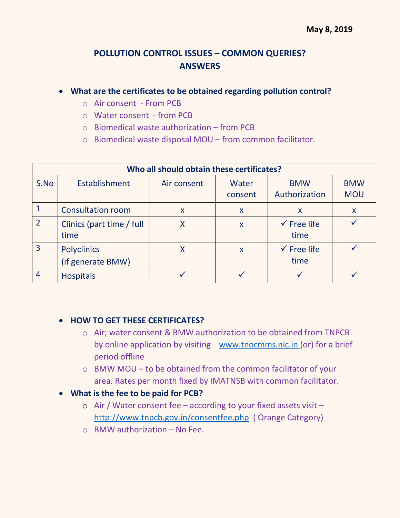## **POLLUTION CONTROL ISSUES – COMMON QUERIES? ANSWERS**

## **What are the certificates to be obtained regarding pollution control?**

- o Air consent From PCB
- o Water consent from PCB
- $\circ$  Biomedical waste authorization from PCB
- o Biomedical waste disposal MOU from common facilitator.

| Who all should obtain these certificates? |                                         |             |                  |                                |                          |
|-------------------------------------------|-----------------------------------------|-------------|------------------|--------------------------------|--------------------------|
| S.No                                      | <b>Establishment</b>                    | Air consent | Water<br>consent | <b>BMW</b><br>Authorization    | <b>BMW</b><br><b>MOU</b> |
|                                           | <b>Consultation room</b>                | X           | $\mathsf{x}$     | X                              | X                        |
| $\overline{2}$                            | Clinics (part time / full<br>time       | Χ           | $\mathsf{x}$     | $\checkmark$ Free life<br>time |                          |
| $\overline{3}$                            | <b>Polyclinics</b><br>(if generate BMW) |             | $\mathsf{x}$     | $\checkmark$ Free life<br>time |                          |
| $\overline{4}$                            | <b>Hospitals</b>                        |             |                  |                                |                          |

## **HOW TO GET THESE CERTIFICATES?**

- o Air; water consent & BMW authorization to be obtained from TNPCB by online application by visiting [www.tnocmms.nic.in](http://www.tnocmms.nic.in/) (or) for a brief period offline
- o BMW MOU to be obtained from the common facilitator of your area. Rates per month fixed by IMATNSB with common facilitator.
- **What is the fee to be paid for PCB?**
	- o Air / Water consent fee according to your fixed assets visit <http://www.tnpcb.gov.in/consentfee.php>( Orange Category)
	- $\circ$  BMW authorization No Fee.